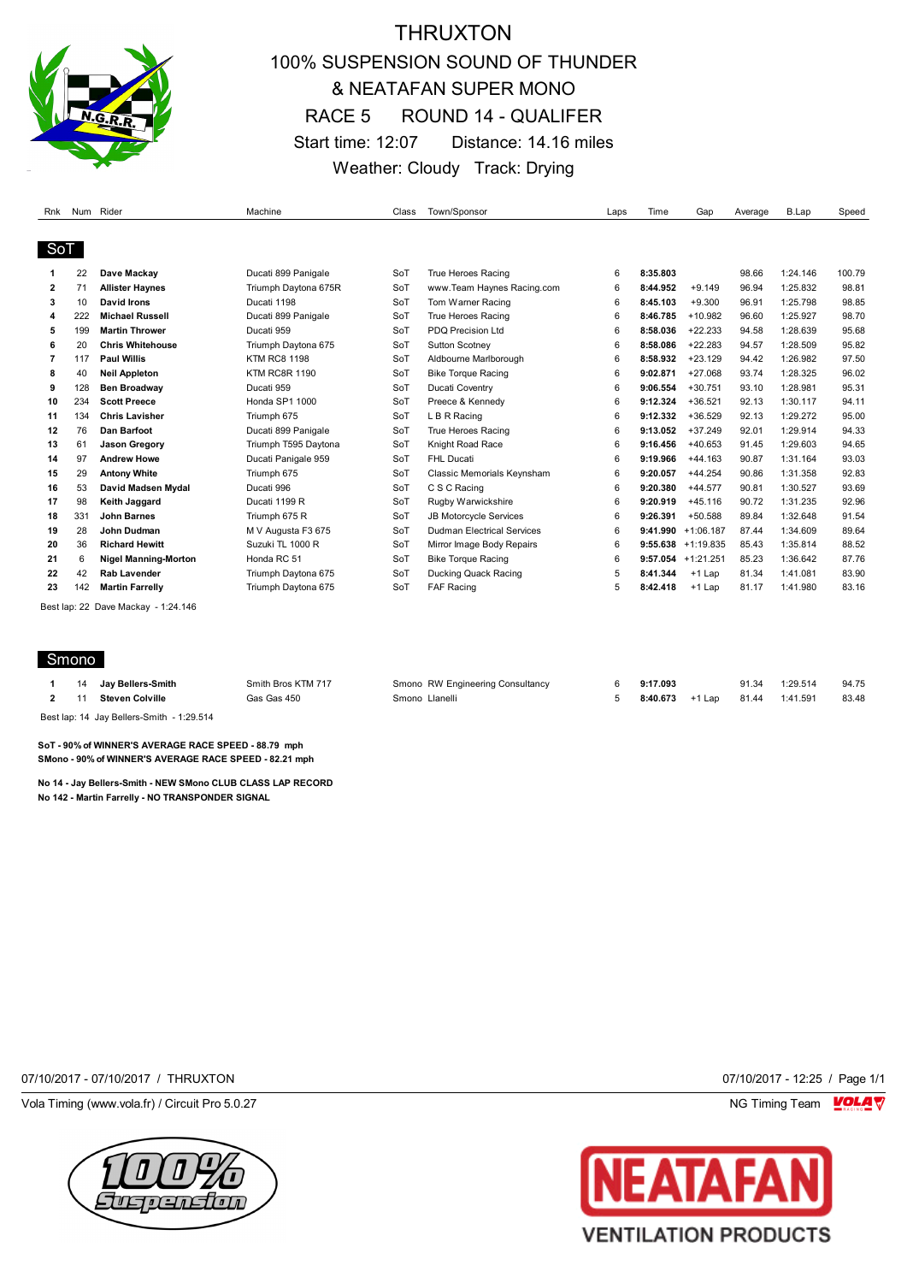

## THRUXTON 100% SUSPENSION SOUND OF THUNDER & NEATAFAN SUPER MONO RACE 5 ROUND 14 - QUALIFER Start time: 12:07 Distance: 14.16 miles Weather: Cloudy Track: Drying

| Rnk |     | Num Rider                           | Machine              | Class | Town/Sponsor                      | Laps | Time     | Gap                   | Average | <b>B.Lap</b> | Speed  |
|-----|-----|-------------------------------------|----------------------|-------|-----------------------------------|------|----------|-----------------------|---------|--------------|--------|
|     |     |                                     |                      |       |                                   |      |          |                       |         |              |        |
| SoT |     |                                     |                      |       |                                   |      |          |                       |         |              |        |
|     | 22  | Dave Mackay                         | Ducati 899 Panigale  | SoT   | True Heroes Racing                | 6    | 8:35.803 |                       | 98.66   | 1:24.146     | 100.79 |
| 2   | 71  | <b>Allister Haynes</b>              | Triumph Daytona 675R | SoT   | www.Team Haynes Racing.com        | 6    | 8:44.952 | $+9.149$              | 96.94   | 1:25.832     | 98.81  |
| 3   | 10  | David Irons                         | Ducati 1198          | SoT   | Tom Warner Racing                 | 6    | 8:45.103 | $+9.300$              | 96.91   | 1:25.798     | 98.85  |
| 4   | 222 | <b>Michael Russell</b>              | Ducati 899 Panigale  | SoT   | True Heroes Racing                | 6    | 8:46.785 | $+10.982$             | 96.60   | 1:25.927     | 98.70  |
| 5   | 199 | <b>Martin Thrower</b>               | Ducati 959           | SoT   | PDO Precision Ltd                 | 6    | 8:58.036 | $+22.233$             | 94.58   | 1:28.639     | 95.68  |
| 6   | 20  | <b>Chris Whitehouse</b>             | Triumph Daytona 675  | SoT   | <b>Sutton Scotnev</b>             | 6    | 8:58.086 | $+22.283$             | 94.57   | 1:28.509     | 95.82  |
| 7   | 117 | <b>Paul Willis</b>                  | <b>KTM RC8 1198</b>  | SoT   | Aldbourne Marlborough             | 6    | 8:58.932 | $+23.129$             | 94.42   | 1:26.982     | 97.50  |
| 8   | 40  | <b>Neil Appleton</b>                | <b>KTM RC8R 1190</b> | SoT   | <b>Bike Torque Racing</b>         | 6    | 9:02.871 | $+27.068$             | 93.74   | 1:28.325     | 96.02  |
| 9   | 128 | <b>Ben Broadway</b>                 | Ducati 959           | SoT   | <b>Ducati Coventry</b>            | 6    | 9:06.554 | $+30.751$             | 93.10   | 1:28.981     | 95.31  |
| 10  | 234 | <b>Scott Preece</b>                 | Honda SP1 1000       | SoT   | Preece & Kennedy                  | 6    | 9:12.324 | $+36.521$             | 92.13   | 1:30.117     | 94.11  |
| 11  | 134 | <b>Chris Lavisher</b>               | Triumph 675          | SoT   | L B R Racing                      | 6    | 9:12.332 | $+36.529$             | 92.13   | 1:29.272     | 95.00  |
| 12  | 76  | <b>Dan Barfoot</b>                  | Ducati 899 Panigale  | SoT   | <b>True Heroes Racing</b>         | 6    | 9:13.052 | $+37.249$             | 92.01   | 1:29.914     | 94.33  |
| 13  | 61  | <b>Jason Gregory</b>                | Triumph T595 Daytona | SoT   | Knight Road Race                  | 6    | 9:16.456 | $+40.653$             | 91.45   | 1:29.603     | 94.65  |
| 14  | 97  | <b>Andrew Howe</b>                  | Ducati Panigale 959  | SoT   | FHL Ducati                        | 6    | 9:19.966 | $+44.163$             | 90.87   | 1:31.164     | 93.03  |
| 15  | 29  | <b>Antony White</b>                 | Triumph 675          | SoT   | Classic Memorials Keynsham        | 6    | 9:20.057 | $+44.254$             | 90.86   | 1:31.358     | 92.83  |
| 16  | 53  | David Madsen Mydal                  | Ducati 996           | SoT   | C S C Racing                      | 6    | 9:20.380 | $+44.577$             | 90.81   | 1:30.527     | 93.69  |
| 17  | 98  | <b>Keith Jaggard</b>                | Ducati 1199 R        | SoT   | Rugby Warwickshire                | 6    | 9:20.919 | $+45.116$             | 90.72   | 1:31.235     | 92.96  |
| 18  | 331 | <b>John Barnes</b>                  | Triumph 675 R        | SoT   | <b>JB Motorcycle Services</b>     | 6    | 9:26.391 | $+50.588$             | 89.84   | 1:32.648     | 91.54  |
| 19  | 28  | John Dudman                         | M V Augusta F3 675   | SoT   | <b>Dudman Electrical Services</b> | 6    |          | $9:41.990 +1:06.187$  | 87.44   | 1:34.609     | 89.64  |
| 20  | 36  | <b>Richard Hewitt</b>               | Suzuki TL 1000 R     | SoT   | Mirror Image Body Repairs         | 6    |          | $9:55.638 + 1:19.835$ | 85.43   | 1:35.814     | 88.52  |
| 21  | 6   | <b>Nigel Manning-Morton</b>         | Honda RC 51          | SoT   | <b>Bike Torque Racing</b>         | 6    |          | $9:57.054$ +1:21.251  | 85.23   | 1:36.642     | 87.76  |
| 22  | 42  | Rab Lavender                        | Triumph Daytona 675  | SoT   | Ducking Quack Racing              | 5    | 8:41.344 | $+1$ Lap              | 81.34   | 1:41.081     | 83.90  |
| 23  | 142 | <b>Martin Farrelly</b>              | Triumph Daytona 675  | SoT   | <b>FAF Racing</b>                 | 5    | 8:42.418 | $+1$ Lap              | 81.17   | 1:41.980     | 83.16  |
|     |     | Best lap: 22 Dave Mackay - 1:24.146 |                      |       |                                   |      |          |                       |         |              |        |
|     |     |                                     |                      |       |                                   |      |          |                       |         |              |        |
|     |     |                                     |                      |       |                                   |      |          |                       |         |              |        |

### **Smono**

|    | 14 Jay Bellers-Smith | Smith Bros KTM 717 | Smono RW Engineering Consultancy | 9:17.093 |        | 91.34 | 1:29.514 | 94.75 |
|----|----------------------|--------------------|----------------------------------|----------|--------|-------|----------|-------|
| 11 | Steven Colville      | Gas Gas 450        | Smono Llanelli                   | 8:40.673 | +1 Lap |       |          | 83.48 |
|    | _ _ _ . _ _          |                    |                                  |          |        |       |          |       |

Best lap: 14 Jay Bellers-Smith - 1:29.514

**SoT - 90% of WINNER'S AVERAGE RACE SPEED - 88.79 mph SMono - 90% of WINNER'S AVERAGE RACE SPEED - 82.21 mph**

**No 14 - Jay Bellers-Smith - NEW SMono CLUB CLASS LAP RECORD No 142 - Martin Farrelly - NO TRANSPONDER SIGNAL**

07/10/2017 - 07/10/2017 / THRUXTON 07/10/2017 - 12:25 / Page 1/1

Vola Timing (www.vola.fr) / Circuit Pro 5.0.27 **NG Timing Team MOLA View Area** NG Timing Team MOLA View Area NG Timing Team MOLA View Area NG Timing Team MOLA View Area NG Timing Team MOLA View Area NG Timing Team MOLA Vie



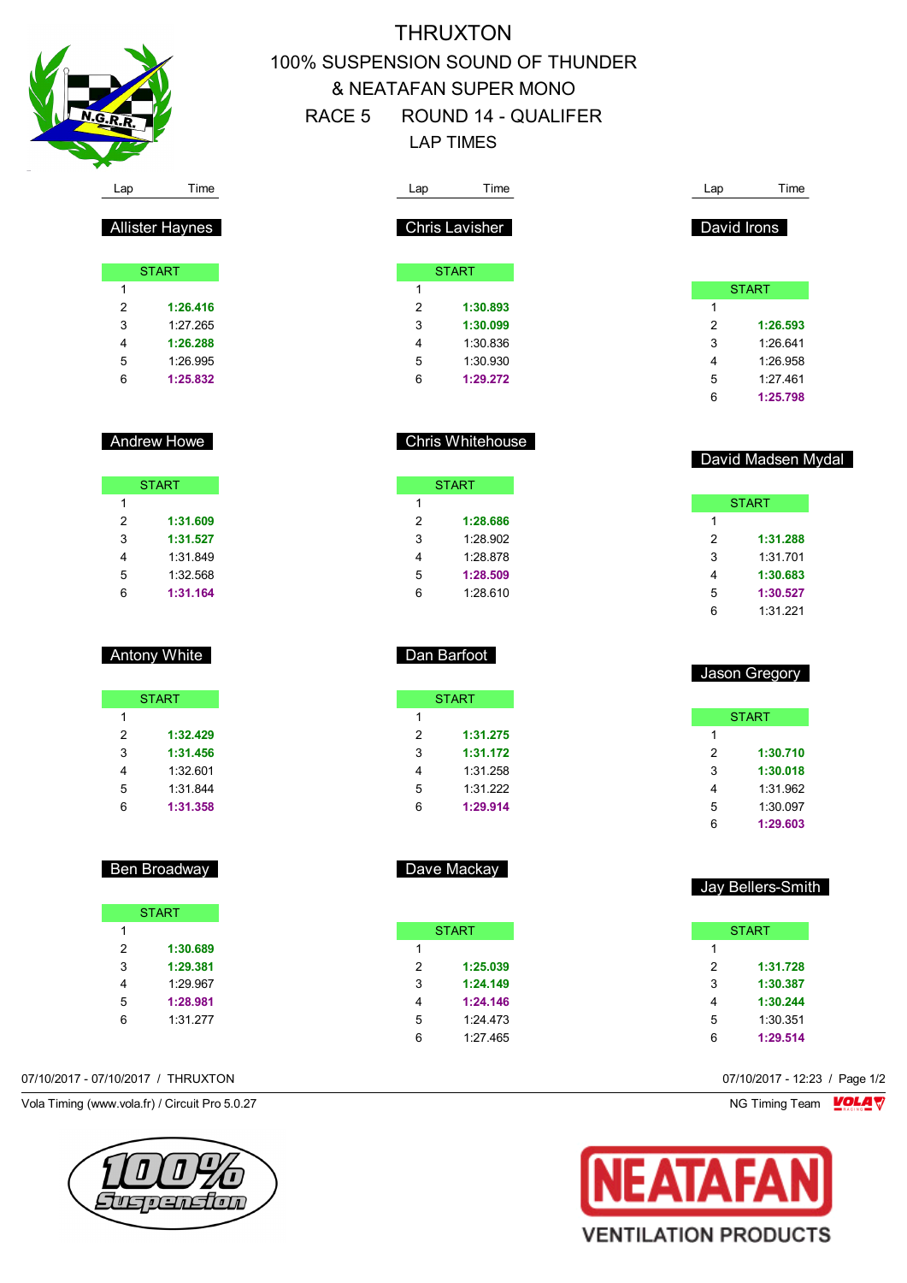

Allister Haynes

**START** 

 **1:26.416** 1:27.265 **1:26.288** 1:26.995 **1:25.832**

Andrew Howe

**START** 

 **1:31.609 1:31.527** 1:31.849 1:32.568 **1:31.164**

Antony White

**START** 

 **1:32.429 1:31.456** 1:32.601 1:31.844 **1:31.358**

Ben Broadway

**START** 

 **1:30.689 1:29.381** 1:29.967 **1:28.981** 1:31.277

# **THRUXTON** 100% SUSPENSION SOUND OF THUNDER & NEATAFAN SUPER MONO RACE 5 ROUND 14 - QUALIFER LAP TIMES

| Lap                     | Time                 |  | Lap                       | Time                 |  |
|-------------------------|----------------------|--|---------------------------|----------------------|--|
|                         |                      |  |                           |                      |  |
|                         | Chris Lavisher       |  |                           | David Irons          |  |
|                         |                      |  |                           |                      |  |
|                         | <b>START</b>         |  |                           |                      |  |
| 1<br>$\overline{2}$     |                      |  | 1                         | <b>START</b>         |  |
| 3                       | 1:30.893             |  | $\overline{2}$            |                      |  |
| $\overline{\mathbf{4}}$ | 1:30.099             |  |                           | 1:26.593             |  |
| 5                       | 1:30.836<br>1:30.930 |  | 3<br>4                    | 1:26.641<br>1:26.958 |  |
| 6                       | 1:29.272             |  | 5                         | 1:27.461             |  |
|                         |                      |  | 6                         | 1:25.798             |  |
|                         |                      |  |                           |                      |  |
|                         |                      |  |                           |                      |  |
|                         | Chris Whitehouse     |  |                           | David Madsen Mydal   |  |
|                         |                      |  |                           |                      |  |
|                         | <b>START</b>         |  |                           |                      |  |
| 1                       |                      |  |                           | <b>START</b>         |  |
| $\overline{2}$          | 1:28.686             |  | 1                         |                      |  |
| 3                       | 1:28.902             |  | 2                         | 1:31.288             |  |
| 4                       | 1:28.878             |  | 3                         | 1:31.701             |  |
| 5                       | 1:28.509             |  | 4                         | 1:30.683             |  |
| 6                       | 1:28.610             |  | 5                         | 1:30.527             |  |
|                         |                      |  | 6                         | 1:31.221             |  |
|                         |                      |  |                           |                      |  |
|                         | Dan Barfoot          |  |                           |                      |  |
|                         |                      |  |                           | Jason Gregory        |  |
|                         |                      |  |                           |                      |  |
|                         | <b>START</b>         |  |                           |                      |  |
| 1<br>2                  |                      |  | $\mathbf{1}$              | <b>START</b>         |  |
| 3                       | 1:31.275<br>1:31.172 |  | 2                         | 1:30.710             |  |
| $\overline{\mathbf{4}}$ | 1:31.258             |  | $\ensuremath{\mathsf{3}}$ | 1:30.018             |  |
| 5                       | 1:31.222             |  | 4                         | 1:31.962             |  |
| 6                       | 1:29.914             |  | 5                         | 1:30.097             |  |
|                         |                      |  | 6                         | 1:29.603             |  |
|                         |                      |  |                           |                      |  |
|                         |                      |  |                           |                      |  |
|                         | Dave Mackay          |  |                           |                      |  |
|                         |                      |  |                           | Jay Bellers-Smith    |  |
|                         |                      |  |                           |                      |  |
|                         | <b>START</b>         |  |                           | <b>START</b>         |  |
| 1                       |                      |  | 1                         |                      |  |
| $\overline{2}$          | 1:25.039             |  | $\overline{2}$            | 1:31.728             |  |
| 3                       | 1:24.149             |  | $\mathsf 3$               | 1:30.387             |  |
| $\overline{\mathbf{4}}$ | 1:24.146             |  | $\overline{4}$            | 1:30.244             |  |
| 5                       | 1:24.473             |  | 5                         | 1:30.351             |  |
| 6                       | 1:27.465             |  | 6                         | 1:29.514             |  |
|                         |                      |  |                           |                      |  |

07/10/2017 - 07/10/2017 / THRUXTON 07/10/2017 - 12:23 / Page 1/2

 $\overline{1}$ 

Vola Timing (www.vola.fr) / Circuit Pro 5.0.27 NG Timing Team VOLA V



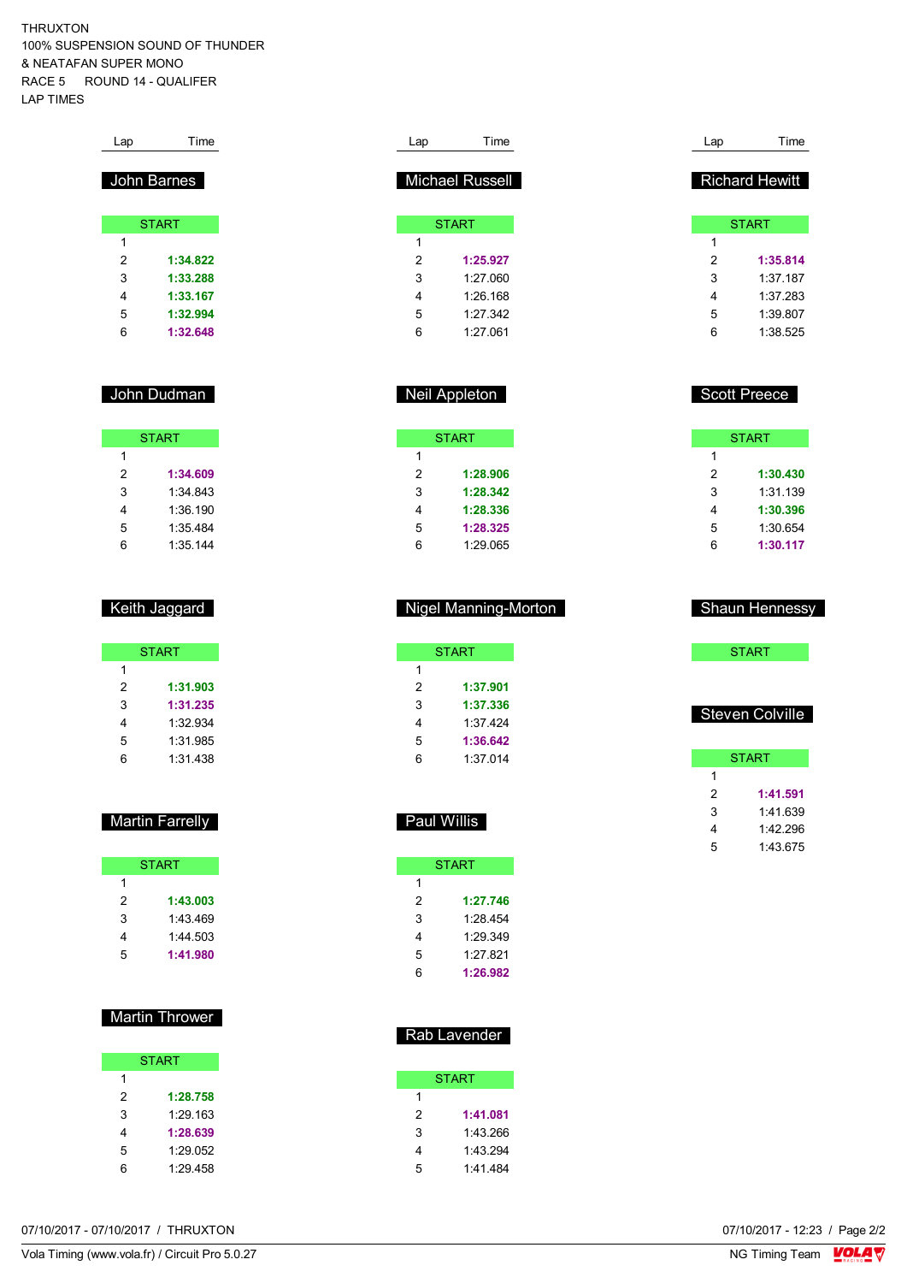THRUXTON 100% SUSPENSION SOUND OF THUNDER & NEATAFAN SUPER MONO RACE 5 ROUND 14 - QUALIFER LAP TIMES

| Lap         | Time         |
|-------------|--------------|
| John Barnes |              |
|             |              |
|             | <b>START</b> |
| 1           |              |
| 2           | 1:34.822     |
| 3           | 1:33.288     |
| 4           | 1:33.167     |
| 5           | 1:32.994     |
| 6           | 1:32.648     |

### John Dudman

| <b>START</b> |          |  |  |  |  |
|--------------|----------|--|--|--|--|
| 1            |          |  |  |  |  |
| 2            | 1:34.609 |  |  |  |  |
| 3            | 1:34 843 |  |  |  |  |
| 4            | 1:36.190 |  |  |  |  |
| 5            | 1:35.484 |  |  |  |  |
| հ            | 1:35.144 |  |  |  |  |

### Keith Jaggard

|   | <b>START</b> |
|---|--------------|
| 1 |              |
| 2 | 1:31.903     |
| 3 | 1:31.235     |
| 4 | 1:32.934     |
| 5 | 1:31.985     |
| հ | 1:31.438     |

### Martin Farrelly

|   | <b>START</b> |
|---|--------------|
| 1 |              |
| 2 | 1:43.003     |
| 3 | 1:43.469     |
| 4 | 1:44.503     |
| 5 | 1:41.980     |

### Martin Thrower

|   | <b>START</b> |
|---|--------------|
| 1 |              |
| 2 | 1:28.758     |
| 3 | 1.29 163     |
| 4 | 1:28.639     |
| 5 | 1:29.052     |
| հ | 1:29.458     |

| Lap | Time                   |  |
|-----|------------------------|--|
|     |                        |  |
|     | <b>Michael Russell</b> |  |
|     |                        |  |
|     | <b>START</b>           |  |
| 1   |                        |  |
| 2   | 1:25.927               |  |
| 3   | 1:27060                |  |
| 4   | $1.26$ 168             |  |
| 5   | 1.27.342               |  |
| 6   | 1:27061                |  |
|     |                        |  |

### Neil Appleton

|   | <b>START</b> |
|---|--------------|
| 1 |              |
| 2 | 1:28.906     |
| 3 | 1:28.342     |
| 4 | 1:28.336     |
| 5 | 1:28.325     |
| 6 | 1:29.065     |

#### Nigel Manning-Morton

| <b>START</b> |          |  |  |  |  |
|--------------|----------|--|--|--|--|
| 1            |          |  |  |  |  |
| 2            | 1:37.901 |  |  |  |  |
| 3            | 1:37.336 |  |  |  |  |
| 4            | 1:37.424 |  |  |  |  |
| 5            | 1:36.642 |  |  |  |  |
| հ            | 1:37.014 |  |  |  |  |

### Paul Willis

|   | <b>START</b> |
|---|--------------|
| 1 |              |
| 2 | 1:27.746     |
| 3 | 1.28 454     |
| 4 | 1.29.349     |
| 5 | 1.27821      |
| հ | 1:26.982     |
|   |              |

### Rab Lavender

|   | START    |
|---|----------|
| 1 |          |
| 2 | 1:41.081 |
| 3 | 1:43.266 |
| 4 | 1:43.294 |
| 5 | 1:41.484 |

| Lap | Time                  |
|-----|-----------------------|
|     |                       |
|     | <b>Richard Hewitt</b> |
|     |                       |
|     | <b>START</b>          |
| 1   |                       |
| 2   | 1:35.814              |
| 3   | 1:37 187              |
| 4   | 1:37 283              |
| 5   | 1:39.807              |
| 6   | 1:38.525              |

### Scott Preece

|   | <b>START</b> |
|---|--------------|
| 1 |              |
| 2 | 1:30.430     |
| 3 | 1:31.139     |
| 4 | 1:30.396     |
| 5 | 1:30.654     |
| հ | 1:30.117     |

#### Shaun Hennessy

**START** 

### Steven Colville

|   | <b>START</b> |
|---|--------------|
| 1 |              |
| 2 | 1:41.591     |
| 3 | 1:41.639     |
| 4 | 1:42.296     |
| 5 | 1:43.675     |

07/10/2017 - 07/10/2017 / THRUXTON

Vola Timing (www.vola.fr) / Circuit Pro 5.0.27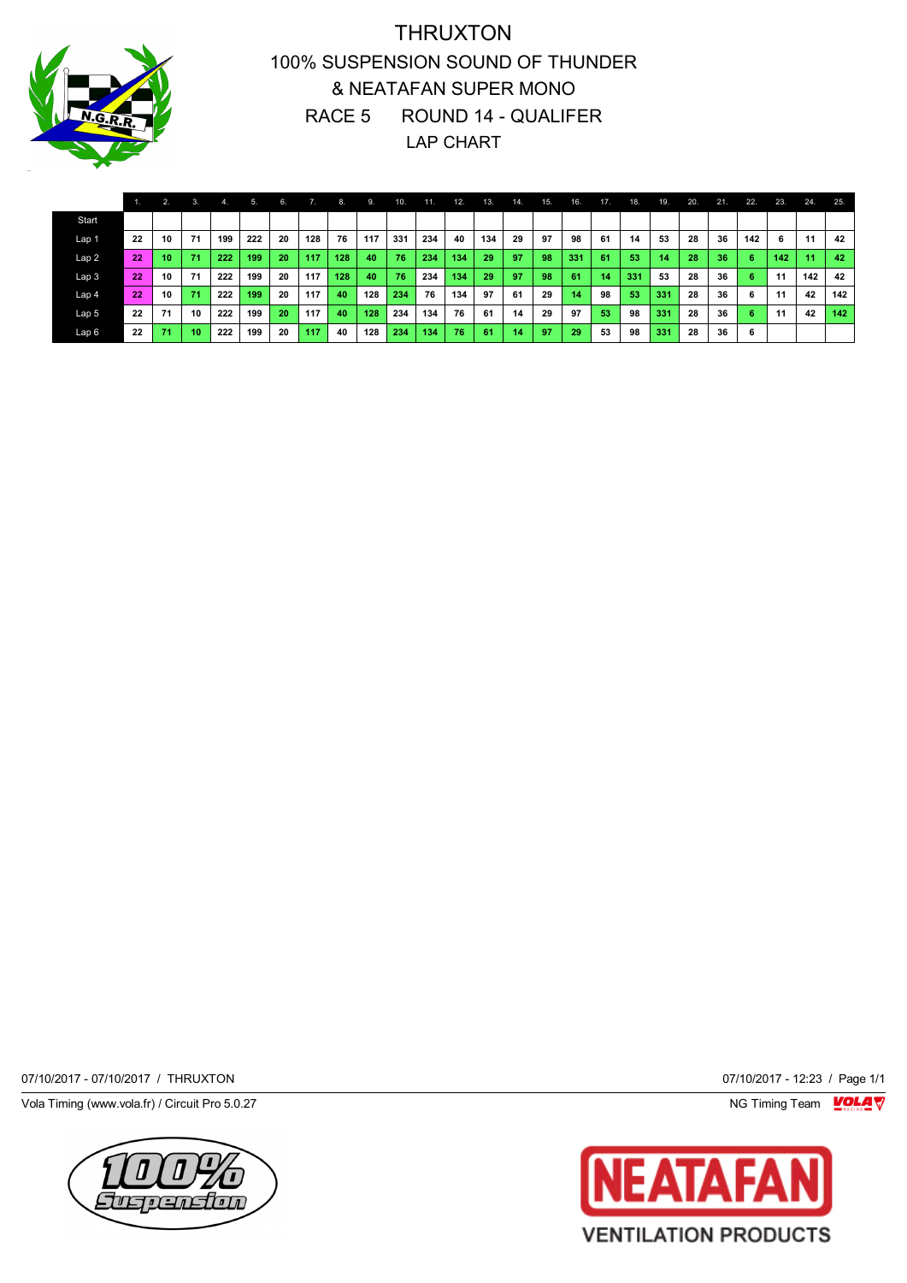

## THRUXTON 100% SUSPENSION SOUND OF THUNDER & NEATAFAN SUPER MONO RACE 5 ROUND 14 - QUALIFER LAP CHART

|                  |    | 2. | 3.              | $-4.1$ | 5.  | 6. |     | 8.  | . 9. | 10. | 11  | 12. | 13. | 14. | 75. | 16. | 17 <sub>1</sub> | 18. | $-19.$ | 20. | 21. | 22. | 23. | 24. | 25. |
|------------------|----|----|-----------------|--------|-----|----|-----|-----|------|-----|-----|-----|-----|-----|-----|-----|-----------------|-----|--------|-----|-----|-----|-----|-----|-----|
| Start            |    |    |                 |        |     |    |     |     |      |     |     |     |     |     |     |     |                 |     |        |     |     |     |     |     |     |
| Lap 1            | 22 | 10 | 71              | 199    | 222 | 20 | 128 | 76  | 117  | 331 | 234 | 40  | 134 | 29  | 97  | 98  | 61              | 14  | 53     | 28  | 36  | 142 | 6   | 11  | 42  |
| Lap <sub>2</sub> | 22 | 10 | 71              | 222    | 199 | 20 | 117 | 128 | 40   | 76  | 234 | 134 | 29  | 97  | 98  | 331 | 61              | 53  | 14     | 28  | 36  | -6  | 142 | 11  | 42  |
| Lap <sub>3</sub> | 22 | 10 | 71              | 222    | 199 | 20 | 117 | 128 | 40   | 76  | 234 | 134 | 29  | 97  | 98  | 61  | 14              | 331 | 53     | 28  | 36  | 6   | 11  | 142 | 42  |
| Lap 4            | 22 | 10 | 71              | 222    | 199 | 20 | 117 | 40  | 128  | 234 | 76  | 134 | 97  | 61  | 29  | 14  | 98              | 53  | 331    | 28  | 36  | 6   | 11  | 42  | 142 |
| Lap <sub>5</sub> | 22 | 71 | 10              | 222    | 199 | 20 | 117 | 40  | 128  | 234 | 134 | 76  | 61  | 14  | 29  | 97  | 53              | 98  | 331    | 28  | 36  | 6   | 11  | 42  | 142 |
| Lap6             | 22 | 71 | 10 <sup>1</sup> | 222    | 199 | 20 | 117 | 40  | 128  | 234 | 134 | 76  | 61  | 14  | 97  | 29  | 53              | 98  | 331    | 28  | 36  | 6   |     |     |     |

07/10/2017 - 07/10/2017 / THRUXTON 07/10/2017 - 12:23 / Page 1/1

Vola Timing (www.vola.fr) / Circuit Pro 5.0.27 **NG Timing Team Monet Account Property** 



IA А **VENTILATION PRODUCTS**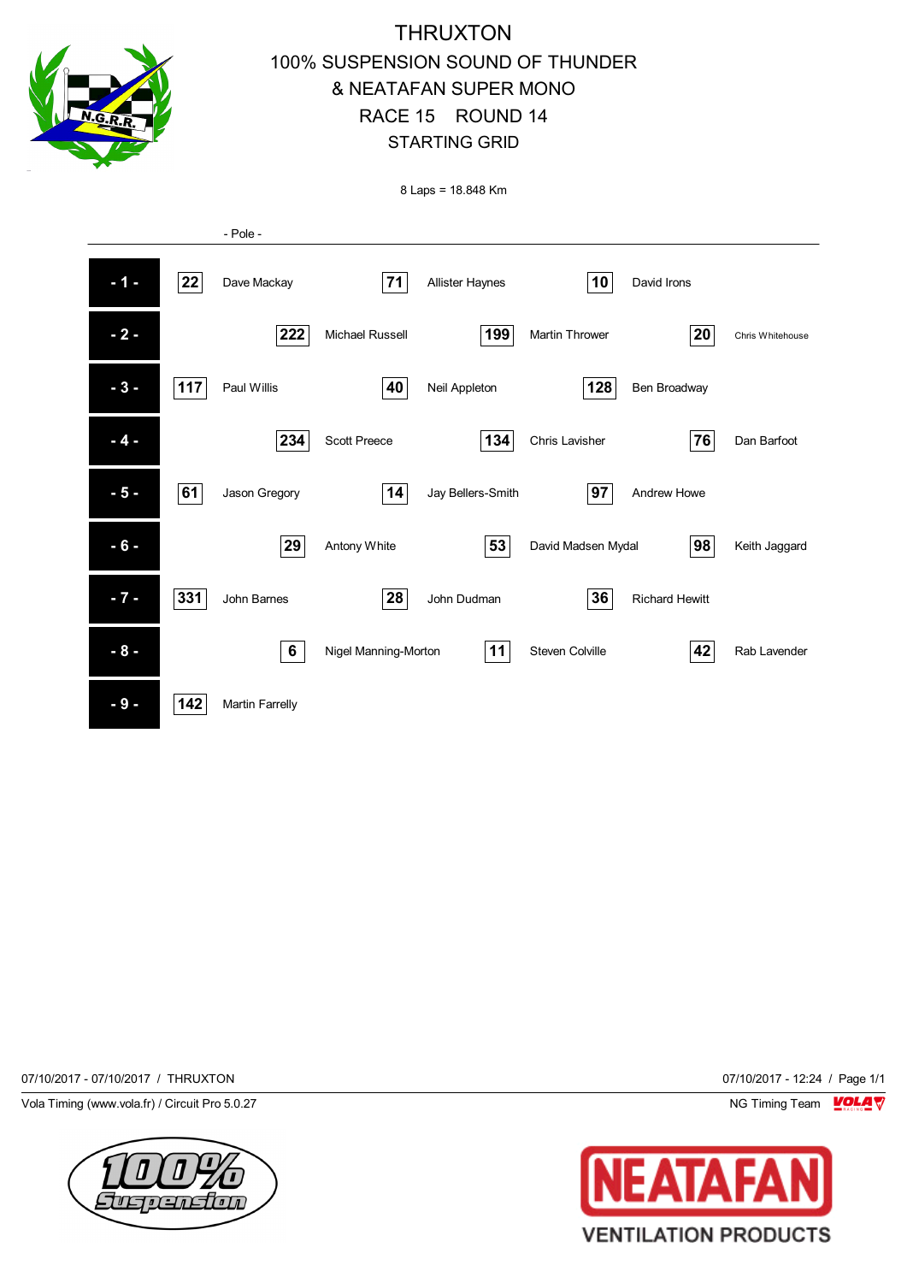

# **THRUXTON** 100% SUSPENSION SOUND OF THUNDER & NEATAFAN SUPER MONO RACE 15 ROUND 14 STARTING GRID

8 Laps = 18.848 Km



07/10/2017 - 07/10/2017 / THRUXTON 07/10/2017 - 12:24 / Page 1/1

Vola Timing (www.vola.fr) / Circuit Pro 5.0.27 NG Timing Team NG Timing Team NG Timing Team NG Timing Team NG



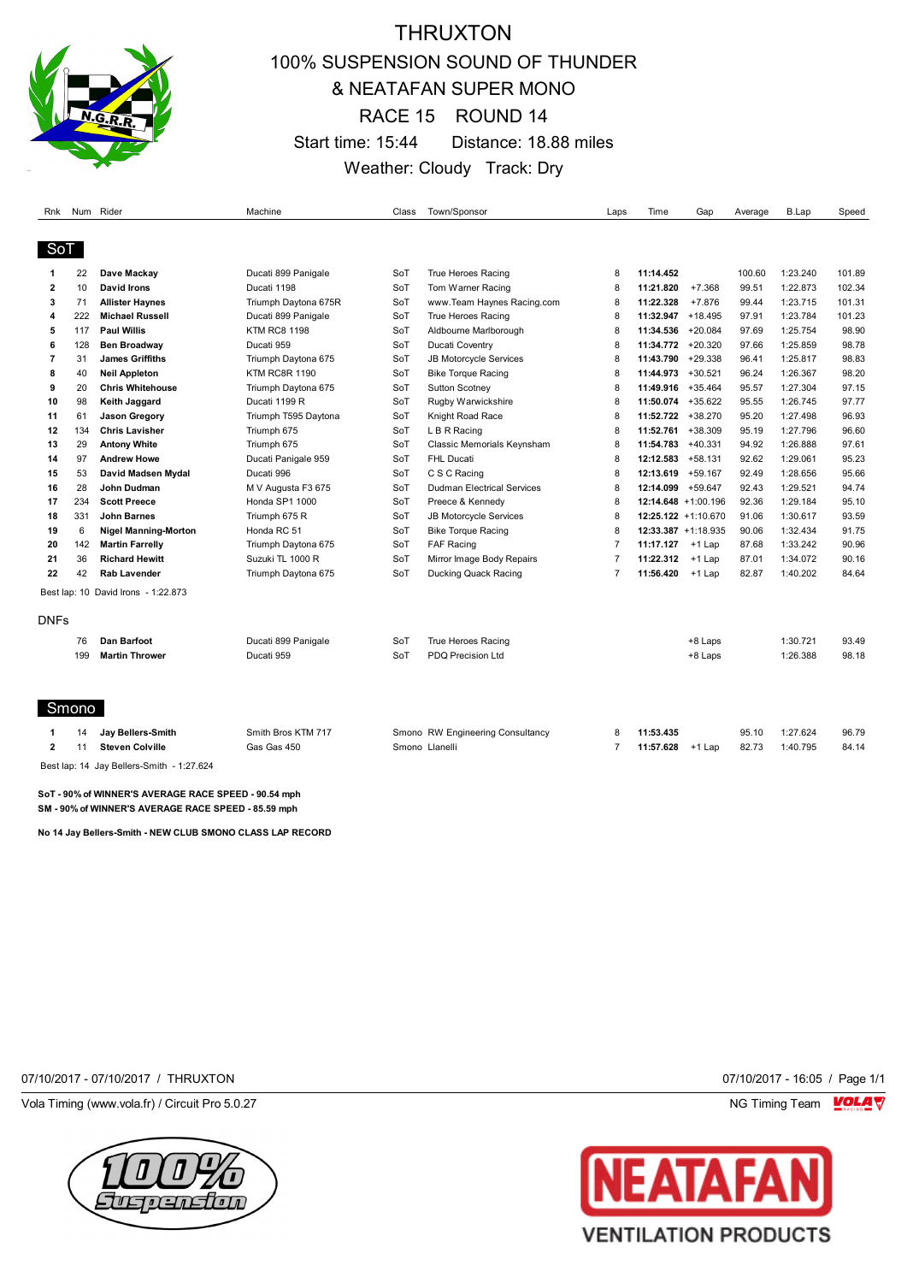

## THRUXTON 100% SUSPENSION SOUND OF THUNDER & NEATAFAN SUPER MONO RACE 15 ROUND 14 Start time: 15:44 Distance: 18.88 miles Weather: Cloudy Track: Dry

|              |     | Rnk Num Rider                             | Machine              | Class | Town/Sponsor                      | Laps           | Time                | Gap       | Average | <b>B.Lap</b> | Speed  |
|--------------|-----|-------------------------------------------|----------------------|-------|-----------------------------------|----------------|---------------------|-----------|---------|--------------|--------|
|              |     |                                           |                      |       |                                   |                |                     |           |         |              |        |
| SoT          |     |                                           |                      |       |                                   |                |                     |           |         |              |        |
| 1            | 22  | Dave Mackay                               | Ducati 899 Panigale  | SoT   | True Heroes Racing                | 8              | 11:14.452           |           | 100.60  | 1:23.240     | 101.89 |
| $\mathbf{2}$ | 10  | David Irons                               | Ducati 1198          | SoT   | Tom Warner Racing                 | 8              | 11:21.820           | $+7.368$  | 99.51   | 1:22.873     | 102.34 |
| 3            | 71  | <b>Allister Haynes</b>                    | Triumph Daytona 675R | SoT   | www.Team Haynes Racing.com        | 8              | 11:22.328           | $+7.876$  | 99.44   | 1:23.715     | 101.31 |
| 4            | 222 | <b>Michael Russell</b>                    | Ducati 899 Panigale  | SoT   | True Heroes Racing                | 8              | 11:32.947           | $+18.495$ | 97.91   | 1:23.784     | 101.23 |
| 5            | 117 | <b>Paul Willis</b>                        | <b>KTM RC8 1198</b>  | SoT   | Aldbourne Marlborough             | 8              | 11:34.536           | $+20.084$ | 97.69   | 1:25.754     | 98.90  |
| 6            | 128 | <b>Ben Broadway</b>                       | Ducati 959           | SoT   | Ducati Coventry                   | 8              | 11:34.772           | $+20.320$ | 97.66   | 1:25.859     | 98.78  |
| 7            | 31  | <b>James Griffiths</b>                    | Triumph Daytona 675  | SoT   | JB Motorcycle Services            | 8              | 11:43.790           | $+29.338$ | 96.41   | 1:25.817     | 98.83  |
| 8            | 40  | <b>Neil Appleton</b>                      | <b>KTM RC8R 1190</b> | SoT   | <b>Bike Torque Racing</b>         | 8              | 11:44.973           | $+30.521$ | 96.24   | 1:26.367     | 98.20  |
| 9            | 20  | <b>Chris Whitehouse</b>                   | Triumph Daytona 675  | SoT   | Sutton Scotney                    | 8              | 11:49.916           | $+35.464$ | 95.57   | 1:27.304     | 97.15  |
| 10           | 98  | Keith Jaggard                             | Ducati 1199 R        | SoT   | Rugby Warwickshire                | 8              | 11:50.074 +35.622   |           | 95.55   | 1:26.745     | 97.77  |
| 11           | 61  | <b>Jason Gregory</b>                      | Triumph T595 Daytona | SoT   | Knight Road Race                  | 8              | 11:52.722 +38.270   |           | 95.20   | 1:27.498     | 96.93  |
| 12           | 134 | <b>Chris Lavisher</b>                     | Triumph 675          | SoT   | L B R Racing                      | 8              | 11:52.761 +38.309   |           | 95.19   | 1:27.796     | 96.60  |
| 13           | 29  | <b>Antony White</b>                       | Triumph 675          | SoT   | Classic Memorials Keynsham        | 8              | 11:54.783 +40.331   |           | 94.92   | 1:26.888     | 97.61  |
| 14           | 97  | <b>Andrew Howe</b>                        | Ducati Panigale 959  | SoT   | <b>FHL Ducati</b>                 | 8              | 12:12.583           | $+58.131$ | 92.62   | 1:29.061     | 95.23  |
| 15           | 53  | David Madsen Mydal                        | Ducati 996           | SoT   | C S C Racing                      | 8              | 12:13.619           | $+59.167$ | 92.49   | 1:28.656     | 95.66  |
| 16           | 28  | John Dudman                               | M V Augusta F3 675   | SoT   | <b>Dudman Electrical Services</b> | 8              | 12:14.099           | $+59.647$ | 92.43   | 1:29.521     | 94.74  |
| 17           | 234 | <b>Scott Preece</b>                       | Honda SP1 1000       | SoT   | Preece & Kennedy                  | 8              | 12:14.648 +1:00.196 |           | 92.36   | 1:29.184     | 95.10  |
| 18           | 331 | <b>John Barnes</b>                        | Triumph 675 R        | SoT   | JB Motorcycle Services            | 8              | 12:25.122 +1:10.670 |           | 91.06   | 1:30.617     | 93.59  |
| 19           | 6   | <b>Nigel Manning-Morton</b>               | Honda RC 51          | SoT   | <b>Bike Torque Racing</b>         | 8              | 12:33.387 +1:18.935 |           | 90.06   | 1:32.434     | 91.75  |
| 20           | 142 | <b>Martin Farrelly</b>                    | Triumph Daytona 675  | SoT   | <b>FAF Racing</b>                 | $\overline{7}$ | 11:17.127           | $+1$ Lap  | 87.68   | 1:33.242     | 90.96  |
| 21           | 36  | <b>Richard Hewitt</b>                     | Suzuki TL 1000 R     | SoT   | Mirror Image Body Repairs         | $\overline{7}$ | 11:22.312           | $+1$ Lap  | 87.01   | 1:34.072     | 90.16  |
| 22           | 42  | <b>Rab Lavender</b>                       | Triumph Daytona 675  | SoT   | Ducking Quack Racing              | $\overline{7}$ | 11:56.420           | +1 Lap    | 82.87   | 1:40.202     | 84.64  |
|              |     | Best lap: 10 David Irons - 1:22.873       |                      |       |                                   |                |                     |           |         |              |        |
| <b>DNFs</b>  |     |                                           |                      |       |                                   |                |                     |           |         |              |        |
|              | 76  | <b>Dan Barfoot</b>                        | Ducati 899 Panigale  | SoT   | True Heroes Racing                |                |                     | +8 Laps   |         | 1:30.721     | 93.49  |
|              | 199 | <b>Martin Thrower</b>                     | Ducati 959           | SoT   | <b>PDQ Precision Ltd</b>          |                |                     | +8 Laps   |         | 1:26.388     | 98.18  |
|              |     |                                           |                      |       |                                   |                |                     |           |         |              |        |
| Smono        |     |                                           |                      |       |                                   |                |                     |           |         |              |        |
|              | 14  | Jay Bellers-Smith                         | Smith Bros KTM 717   |       | Smono RW Engineering Consultancy  | 8              | 11:53.435           |           | 95.10   | 1:27.624     | 96.79  |
| $\mathbf{2}$ | 11  | <b>Steven Colville</b>                    | Gas Gas 450          |       | Smono Llanelli                    | $\overline{7}$ | 11:57.628           | $+1$ Lap  | 82.73   | 1:40.795     | 84.14  |
|              |     | Best lap: 14 Jay Bellers-Smith - 1:27.624 |                      |       |                                   |                |                     |           |         |              |        |

**SoT - 90% of WINNER'S AVERAGE RACE SPEED - 90.54 mph SM - 90% of WINNER'S AVERAGE RACE SPEED - 85.59 mph**

**No 14 Jay Bellers-Smith - NEW CLUB SMONO CLASS LAP RECORD**

07/10/2017 - 07/10/2017 / THRUXTON 07/10/2017 - 16:05 / Page 1/1

Vola Timing (www.vola.fr) / Circuit Pro 5.0.27 NG Timing Team NG Timing Team NG Timing Team NG Timing Team NG



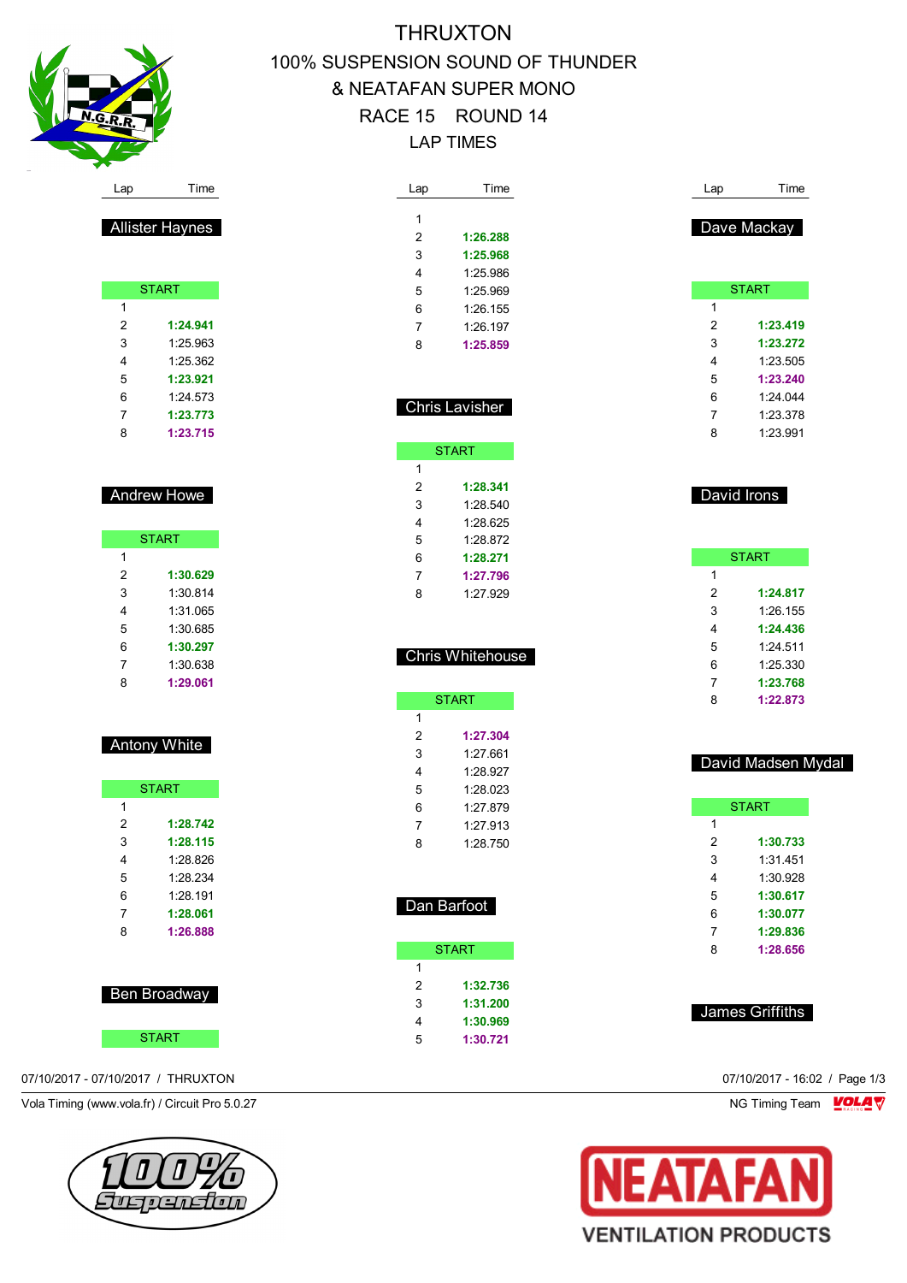

# THRUXTON 100% SUSPENSION SOUND OF THUNDER & NEATAFAN SUPER MONO RACE 15 ROUND 14 LAP TIMES

| Lap | Time                  |  |
|-----|-----------------------|--|
|     |                       |  |
| 1   |                       |  |
| 2   | 1:26.288              |  |
| 3   | 1:25.968              |  |
| 4   | 1:25.986              |  |
| 5   | 1:25.969              |  |
| 6   | 1:26.155              |  |
| 7   | $1.26$ 197            |  |
| 8   | 1:25.859              |  |
|     |                       |  |
|     |                       |  |
|     |                       |  |
|     | <b>Chris Lavisher</b> |  |

|               | <b>START</b> |
|---------------|--------------|
| 1             |              |
| $\mathcal{P}$ | 1:28.341     |
| 3             | 1 28 540     |
| 4             | 1:28.625     |
| 5             | 1.28.872     |
| 6             | 1.28 271     |
| 7             | 1:27.796     |
| 8             | 1:27.929     |

|   | <b>Chris Whitehouse</b> |
|---|-------------------------|
|   |                         |
|   | <b>START</b>            |
| 1 |                         |
| 2 | 1:27.304                |
| 3 | 1:27 661                |
|   | 1:28.927                |

| 5 | 1:28.023 |  |
|---|----------|--|
| 6 | 1:27.879 |  |
| 7 | 1:27.913 |  |
| 8 | 1:28.750 |  |
|   |          |  |

| )an Bartoot |
|-------------|
|-------------|

|   | <b>START</b> |
|---|--------------|
| 1 |              |
| 2 | 1:32.736     |
| 3 | 1:31.200     |
| 4 | 1:30.969     |
| 5 | 1:30.721     |

| Lap            | Time         |
|----------------|--------------|
|                | Dave Mackay  |
|                | <b>START</b> |
| 1              |              |
| $\overline{2}$ | 1:23.419     |
| 3              | 1:23.272     |
| 4              | 1:23.505     |
| 5              | 1:23.240     |
| 6              | 1.24044      |
| 7              | 1:23.378     |
| 8              | 1.23991      |
|                | David Irons  |
|                | <b>START</b> |
| 1              |              |

|   | <b>START</b> |
|---|--------------|
| 1 |              |
| 2 | 1:24.817     |
| 3 | 1:26.155     |
| 4 | 1:24.436     |
| 5 | 1.24511      |
| 6 | 1:25.330     |
| 7 | 1:23.768     |
| 8 | 1:22.873     |
|   |              |

| David Madsen Mydal |
|--------------------|
|--------------------|

| <b>START</b> |          |
|--------------|----------|
| 1            |          |
| 2            | 1:30.733 |
| 3            | 1:31.451 |
| 4            | 1:30.928 |
| 5            | 1:30.617 |
| 6            | 1:30.077 |
| 7            | 1:29.836 |
| ጸ            | 1:28.656 |
|              |          |

### James Griffiths



| <b>Andrew Howe</b> |  |
|--------------------|--|
|                    |  |

Allister Haynes

**START** 

 **1:24.941** 1:25.963 1:25.362 **1:23.921** 1:24.573 **1:23.773 1:23.715**

|   | <b>START</b> |
|---|--------------|
| 1 |              |
| 2 | 1:30.629     |
| 3 | 1:30.814     |
| 4 | 1:31 065     |
| 5 | 1:30 685     |
| 6 | 1:30.297     |
| 7 | 1:30.638     |
| 8 | 1:29.061     |

### Antony White

| <b>START</b> |          |
|--------------|----------|
| 1            |          |
| 2            | 1:28.742 |
| 3            | 1:28.115 |
| 4            | 1.28.826 |
| 5            | 1.28.234 |
| 6            | 1:28.191 |
| 7            | 1:28.061 |
| 8            | 1:26.888 |
|              |          |

| <b>Ben Broadway</b> |  |
|---------------------|--|
|                     |  |

**START** 

07/10/2017 - 07/10/2017 / THRUXTON 07/10/2017 - 16:02 / Page 1/3

Vola Timing (www.vola.fr) / Circuit Pro 5.0.27 NG Timing Team VOLA V

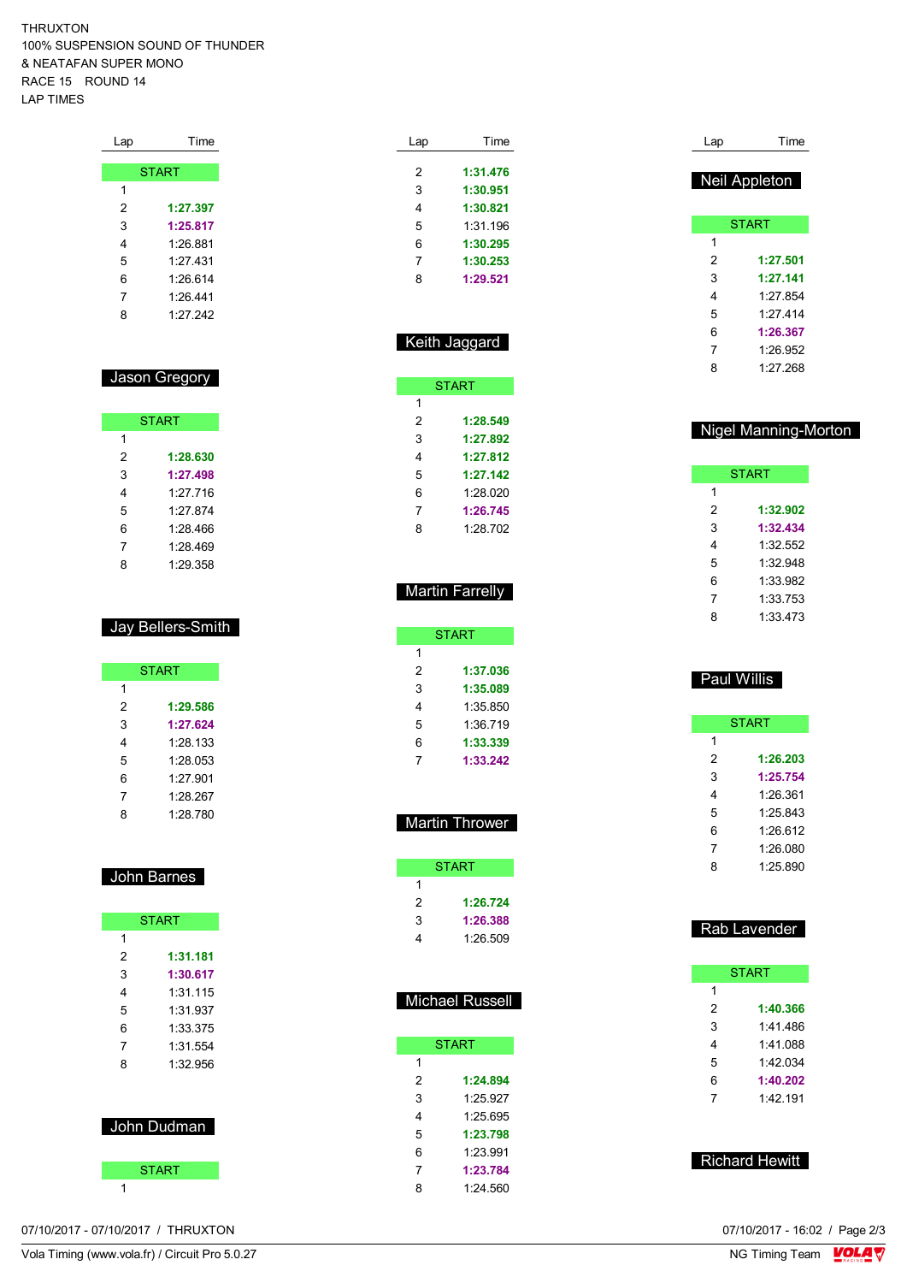THRUXTON 100% SUSPENSION SOUND OF THUNDER & NEATAFAN SUPER MONO RACE 15 ROUND 14 LAP TIMES

| Lap | Time         |
|-----|--------------|
|     |              |
|     | <b>START</b> |
| 1   |              |
| 2   | 1:27.397     |
| 3   | 1:25.817     |
| 4   | 1:26.881     |
| 5   | 1.27 431     |
| 6   | 1.26614      |
| 7   | 1:26.441     |
| 8   | 1.27.242     |

### Jason Gregory

| <b>START</b> |          |  |
|--------------|----------|--|
| 1            |          |  |
| 2            | 1:28.630 |  |
| 3            | 1:27.498 |  |
| 4            | 1.27 716 |  |
| 5            | 1.27874  |  |
| 6            | 1.28 466 |  |
| 7            | 1:28.469 |  |
| 8            | 1:29.358 |  |

### Jay Bellers-Smith

|   | <b>START</b> |
|---|--------------|
| 1 |              |
| 2 | 1:29.586     |
| 3 | 1:27.624     |
| 4 | 1:28.133     |
| 5 | 1:28.053     |
| 6 | 1.27 901     |
| 7 | 1:28.267     |
| 8 | 1:28.780     |

### John Barnes

| <b>START</b> |             |
|--------------|-------------|
| 1            |             |
| 2            | 1:31.181    |
| 3            | 1:30.617    |
| 4            | 1:31 115    |
| 5            | 1:31.937    |
| 6            | 1:33.375    |
| 7            | 1:31 554    |
| 8            | 1:32.956    |
|              | John Dudman |
|              | START       |

| Lap | Time     |
|-----|----------|
| 2   | 1:31.476 |
| 3   | 1:30.951 |
|     |          |
| 4   | 1:30.821 |
| 5   | 1:31.196 |
| 6   | 1:30.295 |
| 7   | 1:30.253 |
| ጸ   | 1:29.521 |

|   | Keith Jaggard |
|---|---------------|
|   | <b>START</b>  |
|   |               |
| 2 | 1:28.549      |

| 3 | 1:27.892 |
|---|----------|
| 4 | 1:27.812 |
| 5 | 1:27.142 |
| 6 | 1.28 020 |
| 7 | 1:26.745 |
| 8 | 1.28 702 |

### **Martin Farrelly**

|   | START    |
|---|----------|
| 1 |          |
| 2 | 1:37.036 |
| 3 | 1:35.089 |
| 4 | 1:35 850 |
| 5 | 1:36.719 |
| 6 | 1:33.339 |
| 7 | 1:33.242 |

### Martin Thrower

|   | START    |
|---|----------|
| 1 |          |
| 2 | 1:26.724 |
| 3 | 1:26.388 |
| Δ | 1:26.509 |

| <b>Michael Russell</b> |              |  |
|------------------------|--------------|--|
|                        | <b>START</b> |  |
| 1                      |              |  |
| 2                      | 1:24.894     |  |
| 3                      | 1.25.927     |  |
| 4                      | 1.25695      |  |
| 5                      | 1:23.798     |  |
| 6                      | 1:23.991     |  |
| 7                      | 1:23.784     |  |
| 8                      | 1:24.560     |  |

| Lap | Time          |
|-----|---------------|
|     | Neil Appleton |
|     | <b>START</b>  |
| 1   |               |
|     |               |
| 2   | 1:27.501      |
| 3   | 1:27.141      |
| 4   | 1.27 854      |
| 5   | 1.27 414      |
| 6   | 1:26.367      |
| 7   | 1:26.952      |
| 8   | 1.27 268      |

### Nigel Manning-Morton

| <b>START</b> |          |
|--------------|----------|
| 1            |          |
| 2            | 1:32.902 |
| 3            | 1:32.434 |
| 4            | 1:32.552 |
| 5            | 1:32.948 |
| 6            | 1:33.982 |
| 7            | 1:33.753 |
| 8            | 1:33 473 |

### Paul Willis

| <b>START</b> |          |
|--------------|----------|
| 1            |          |
| 2            | 1:26.203 |
| 3            | 1:25.754 |
| 4            | 1:26.361 |
| 5            | 1:25.843 |
| 6            | 1.26.612 |
| 7            | 1:26.080 |
| Ŗ            | 1.25890  |

### Rab Lavender

| <b>START</b> |          |
|--------------|----------|
| 1            |          |
| 2            | 1:40.366 |
| 3            | 1:41 486 |
| 4            | 1:41.088 |
| 5            | 1:42.034 |
| 6            | 1:40.202 |
| 7            | 1.42191  |
|              |          |

### Richard Hewitt

07/10/2017 - 07/10/2017 / THRUXTON